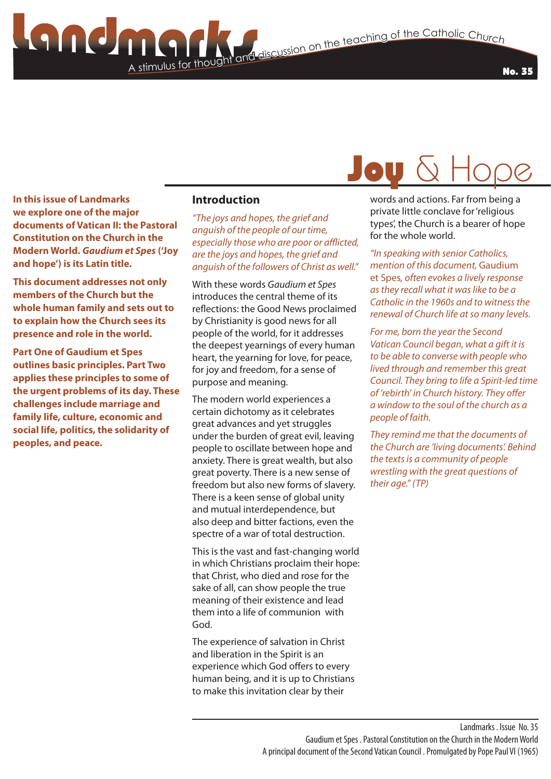**Jou** 

**In this issue of Landmarks we explore one of the major documents of Vatican II: the Pastoral Constitution on the Church in the Modern World.** *Gaudium et Spes* **('Joy and hope') is its Latin title.**

**This document addresses not only members of the Church but the whole human family and sets out to to explain how the Church sees its presence and role in the world.** 

**Part One of Gaudium et Spes outlines basic principles. Part Two applies these principles to some of the urgent problems of its day. These challenges include marriage and family life, culture, economic and social life, politics, the solidarity of peoples, and peace.**

#### **Introduction**

A stimulus for though

*"The joys and hopes, the grief and anguish of the people of our time, especially those who are poor or afflicted, are the joys and hopes, the grief and anguish of the followers of Christ as well."*

With these words *Gaudium et Spes* introduces the central theme of its reflections: the Good News proclaimed by Christianity is good news for all people of the world, for it addresses the deepest yearnings of every human heart, the yearning for love, for peace, for joy and freedom, for a sense of purpose and meaning.

The modern world experiences a certain dichotomy as it celebrates great advances and yet struggles under the burden of great evil, leaving people to oscillate between hope and anxiety. There is great wealth, but also great poverty. There is a new sense of freedom but also new forms of slavery. There is a keen sense of global unity and mutual interdependence, but also deep and bitter factions, even the spectre of a war of total destruction.

This is the vast and fast-changing world in which Christians proclaim their hope: that Christ, who died and rose for the sake of all, can show people the true meaning of their existence and lead them into a life of communion with God.

The experience of salvation in Christ and liberation in the Spirit is an experience which God offers to every human being, and it is up to Christians to make this invitation clear by their

words and actions. Far from being a private little conclave for 'religious types', the Church is a bearer of hope for the whole world.

*"In speaking with senior Catholics, mention of this document,* Gaudium et Spes*, often evokes a lively response as they recall what it was like to be a Catholic in the 1960s and to witness the renewal of Church life at so many levels.*

*For me, born the year the Second Vatican Council began, what a gift it is to be able to converse with people who lived through and remember this great Council. They bring to life a Spirit-led time of 'rebirth' in Church history. They offer a window to the soul of the church as a people of faith.* 

*They remind me that the documents of the Church are 'living documents'. Behind the texts is a community of people wrestling with the great questions of their age." (TP)*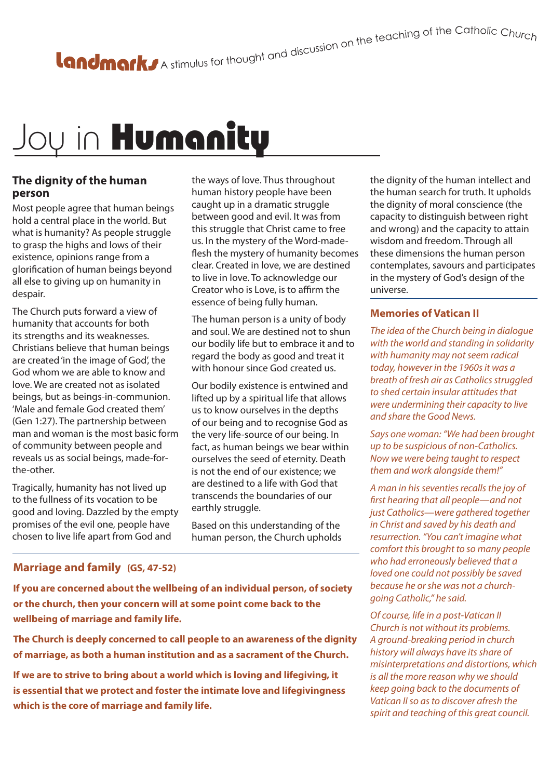## Joy in Humanity

#### **The dignity of the human person**

Most people agree that human beings hold a central place in the world. But what is humanity? As people struggle to grasp the highs and lows of their existence, opinions range from a glorification of human beings beyond all else to giving up on humanity in despair.

The Church puts forward a view of humanity that accounts for both its strengths and its weaknesses. Christians believe that human beings are created 'in the image of God', the God whom we are able to know and love. We are created not as isolated beings, but as beings-in-communion. 'Male and female God created them' (Gen 1:27). The partnership between man and woman is the most basic form of community between people and reveals us as social beings, made-forthe-other.

Tragically, humanity has not lived up to the fullness of its vocation to be good and loving. Dazzled by the empty promises of the evil one, people have chosen to live life apart from God and

the ways of love. Thus throughout human history people have been caught up in a dramatic struggle between good and evil. It was from this struggle that Christ came to free us. In the mystery of the Word-madeflesh the mystery of humanity becomes clear. Created in love, we are destined to live in love. To acknowledge our Creator who is Love, is to affirm the essence of being fully human.

The human person is a unity of body and soul. We are destined not to shun our bodily life but to embrace it and to regard the body as good and treat it with honour since God created us.

Our bodily existence is entwined and lifted up by a spiritual life that allows us to know ourselves in the depths of our being and to recognise God as the very life-source of our being. In fact, as human beings we bear within ourselves the seed of eternity. Death is not the end of our existence; we are destined to a life with God that transcends the boundaries of our earthly struggle.

Based on this understanding of the human person, the Church upholds

#### **Marriage and family (GS, 47-52)**

**If you are concerned about the wellbeing of an individual person, of society or the church, then your concern will at some point come back to the wellbeing of marriage and family life.** 

**The Church is deeply concerned to call people to an awareness of the dignity of marriage, as both a human institution and as a sacrament of the Church.** 

**If we are to strive to bring about a world which is loving and lifegiving, it is essential that we protect and foster the intimate love and lifegivingness which is the core of marriage and family life.**

the dignity of the human intellect and the human search for truth. It upholds the dignity of moral conscience (the capacity to distinguish between right and wrong) and the capacity to attain wisdom and freedom. Through all these dimensions the human person contemplates, savours and participates in the mystery of God's design of the universe.

#### **Memories of Vatican II**

*The idea of the Church being in dialogue with the world and standing in solidarity with humanity may not seem radical today, however in the 1960s it was a breath of fresh air as Catholics struggled to shed certain insular attitudes that were undermining their capacity to live and share the Good News.* 

*Says one woman: "We had been brought up to be suspicious of non-Catholics. Now we were being taught to respect them and work alongside them!"*

*A man in his seventies recalls the joy of first hearing that all people—and not just Catholics—were gathered together in Christ and saved by his death and resurrection. "You can't imagine what comfort this brought to so many people who had erroneously believed that a loved one could not possibly be saved because he or she was not a churchgoing Catholic," he said.*

*Of course, life in a post-Vatican II Church is not without its problems. A ground-breaking period in church history will always have its share of misinterpretations and distortions, which is all the more reason why we should keep going back to the documents of Vatican II so as to discover afresh the spirit and teaching of this great council.*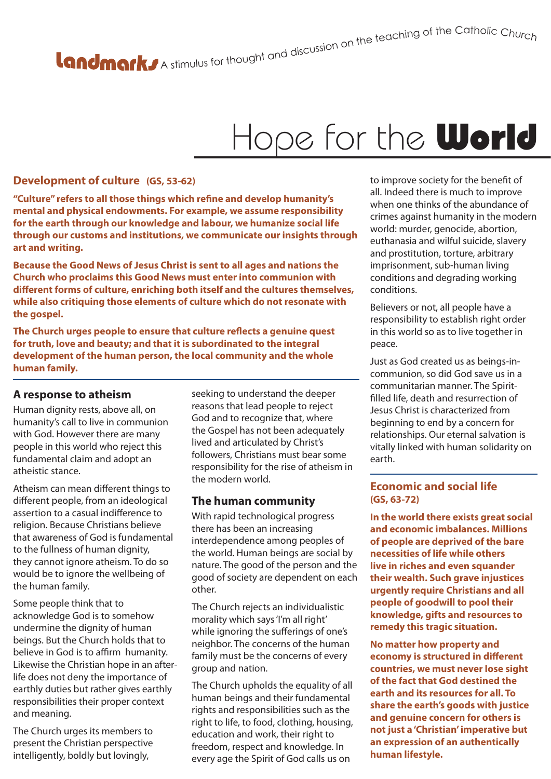# A stimulus for thought and discussion on the teaching of the Catholic Churc<sub>h</sub>

### Hope for the **World**

#### **Development of culture (GS, 53-62)**

**"Culture" refers to all those things which refine and develop humanity's mental and physical endowments. For example, we assume responsibility for the earth through our knowledge and labour, we humanize social life through our customs and institutions, we communicate our insights through art and writing.**

**Because the Good News of Jesus Christ is sent to all ages and nations the Church who proclaims this Good News must enter into communion with different forms of culture, enriching both itself and the cultures themselves, while also critiquing those elements of culture which do not resonate with the gospel.**

**The Church urges people to ensure that culture reflects a genuine quest for truth, love and beauty; and that it is subordinated to the integral development of the human person, the local community and the whole human family.** 

#### **A response to atheism**

Human dignity rests, above all, on humanity's call to live in communion with God. However there are many people in this world who reject this fundamental claim and adopt an atheistic stance.

Atheism can mean different things to different people, from an ideological assertion to a casual indifference to religion. Because Christians believe that awareness of God is fundamental to the fullness of human dignity, they cannot ignore atheism. To do so would be to janore the wellbeing of the human family.

Some people think that to acknowledge God is to somehow undermine the dignity of human beings. But the Church holds that to believe in God is to affirm humanity. Likewise the Christian hope in an afterlife does not deny the importance of earthly duties but rather gives earthly responsibilities their proper context and meaning.

The Church urges its members to present the Christian perspective intelligently, boldly but lovingly,

seeking to understand the deeper reasons that lead people to reject God and to recognize that, where the Gospel has not been adequately lived and articulated by Christ's followers, Christians must bear some responsibility for the rise of atheism in the modern world.

#### **The human community**

With rapid technological progress there has been an increasing interdependence among peoples of the world. Human beings are social by nature. The good of the person and the good of society are dependent on each other.

The Church rejects an individualistic morality which says 'I'm all right' while ignoring the sufferings of one's neighbor. The concerns of the human family must be the concerns of every group and nation.

The Church upholds the equality of all human beings and their fundamental rights and responsibilities such as the right to life, to food, clothing, housing, education and work, their right to freedom, respect and knowledge. In every age the Spirit of God calls us on

to improve society for the benefit of all. Indeed there is much to improve when one thinks of the abundance of crimes against humanity in the modern world: murder, genocide, abortion, euthanasia and wilful suicide, slavery and prostitution, torture, arbitrary imprisonment, sub-human living conditions and degrading working conditions.

Believers or not, all people have a responsibility to establish right order in this world so as to live together in peace.

Just as God created us as beings-incommunion, so did God save us in a communitarian manner. The Spiritfilled life, death and resurrection of Jesus Christ is characterized from beginning to end by a concern for relationships. Our eternal salvation is vitally linked with human solidarity on earth.

#### **Economic and social life (GS, 63-72)**

**In the world there exists great social and economic imbalances. Millions of people are deprived of the bare necessities of life while others live in riches and even squander their wealth. Such grave injustices urgently require Christians and all people of goodwill to pool their knowledge, gifts and resources to remedy this tragic situation.** 

**No matter how property and economy is structured in different countries, we must never lose sight of the fact that God destined the earth and its resources for all. To share the earth's goods with justice and genuine concern for others is not just a 'Christian' imperative but an expression of an authentically human lifestyle.**